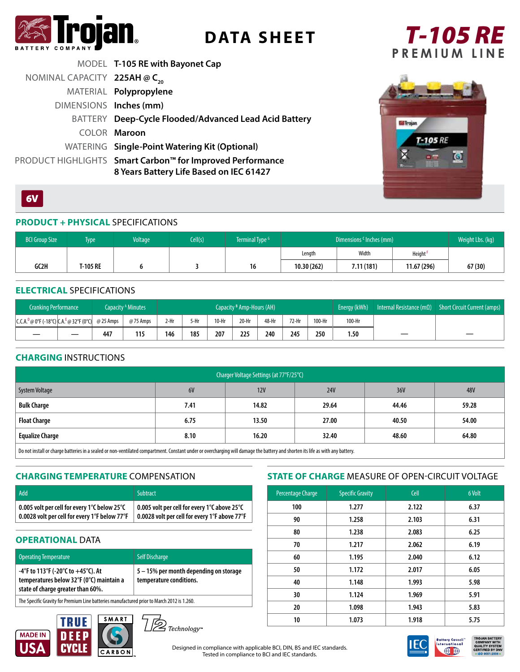

# **DATA SHEET**

## *T-105 RE*  **PREMIUM LINE**

|                                          | MODEL T-105 RE with Bayonet Cap                                                                      |
|------------------------------------------|------------------------------------------------------------------------------------------------------|
| NOMINAL CAPACITY 225AH @ C <sub>20</sub> |                                                                                                      |
|                                          | MATERIAL Polypropylene                                                                               |
| DIMENSIONS Inches (mm)                   |                                                                                                      |
|                                          | BATTERY Deep-Cycle Flooded/Advanced Lead Acid Battery                                                |
|                                          | COLOR Maroon                                                                                         |
|                                          | WATERING Single-Point Watering Kit (Optional)                                                        |
|                                          | PRODUCT HIGHLIGHTS Smart Carbon™ for Improved Performance<br>8 Years Battery Life Based on IEC 61427 |



## $6V$

## **PRODUCT + PHYSICAL** SPECIFICATIONS

| <b>BCI Group Size</b> | Type     | <b>Voltage</b> | Cell(s) | Terminal Type <sup>G</sup> | Dimensions <sup>c</sup> Inches (mm) |            |               | Weight Lbs. (kg) |
|-----------------------|----------|----------------|---------|----------------------------|-------------------------------------|------------|---------------|------------------|
|                       |          |                |         |                            | Length                              | Width      | <b>Height</b> |                  |
| GC2H                  | 1-105 RE |                |         | 16                         | 10.30(262)                          | 7.11 (181) | 11.67 (296)   | 67 (30)          |

#### **ELECTRICAL** SPECIFICATIONS

| <b>Cranking Performance</b>                  |           | Capacity <sup>A</sup> Minutes | Capacity <sup>B</sup> Amp-Hours (AH) |      |         | Energy (kWh) | Internal Resistance (m $\Omega$ ) | Short Circuit Current (amps) |        |        |  |  |
|----------------------------------------------|-----------|-------------------------------|--------------------------------------|------|---------|--------------|-----------------------------------|------------------------------|--------|--------|--|--|
| $ C.C.A.^D@0^cF(-18^cC) C.A.^E@32^cF(0^cC) $ | @ 25 Amps | @ 75 Amps                     | 2-Hr                                 | 5-Hr | $10-Hr$ | $20-Hr$      | 48-Hr                             | $72-Hr$                      | 100-Hr | 100-Hr |  |  |
|                                              | 447       | 115                           | 146                                  | 185  | 207     | 225          | 240                               | 245                          | 250    | 1.50   |  |  |

### **CHARGING** INSTRUCTIONS

| Charger Voltage Settings (at 77°F/25°C)                                                                                                                                               |      |       |            |       |            |  |  |
|---------------------------------------------------------------------------------------------------------------------------------------------------------------------------------------|------|-------|------------|-------|------------|--|--|
| System Voltage                                                                                                                                                                        | 6V   | 12V   | <b>24V</b> | 36V   | <b>48V</b> |  |  |
| <b>Bulk Charge</b>                                                                                                                                                                    | 7.41 | 14.82 | 29.64      | 44.46 | 59.28      |  |  |
| <b>Float Charge</b>                                                                                                                                                                   | 6.75 | 13.50 | 27.00      | 40.50 | 54.00      |  |  |
| <b>Equalize Charge</b>                                                                                                                                                                | 8.10 | 16.20 | 32.40      | 48.60 | 64.80      |  |  |
| $\Box$ De not install or sharen batteries in a soaled or non-ventilated compastment. Constant under or oversharming will damage the battery and shorten its life as with any battery. |      |       |            |       |            |  |  |

Do not install or charge batteries in a sealed or non-ventilated compartment. Constant under or overcharging will damage the battery and shorten its life as with any battery.

## **CHARGING TEMPERATURE** COMPENSATION

| Add                                           | <b>Subtract</b>                                     |
|-----------------------------------------------|-----------------------------------------------------|
| 0.005 volt per cell for every 1°C below 25°C  | 0.005 volt per cell for every 1°C above 25°C        |
| 0.0028 volt per cell for every 1°F below 77°F | $\pm$ 0.0028 volt per cell for every 1°F above 77°F |

## **OPERATIONAL DATA**

| <b>Operating Temperature</b>                                                                                        | <b>Self Discharge</b>                                             |  |  |  |  |  |
|---------------------------------------------------------------------------------------------------------------------|-------------------------------------------------------------------|--|--|--|--|--|
| -4°F to 113°F (-20°C to +45°C). At<br>temperatures below 32°F (0°C) maintain a<br>state of charge greater than 60%. | 5 – 15% per month depending on storage<br>temperature conditions. |  |  |  |  |  |
| The Specific Gravity for Premium Line batteries manufactured prior to March 2012 is 1.260.                          |                                                                   |  |  |  |  |  |





## **STATE OF CHARGE** MEASURE OF OPEN-CIRCUIT VOLTAGE

| Percentage Charge | <b>Specific Gravity</b> | Cell  | 6 Volt |
|-------------------|-------------------------|-------|--------|
| 100               | 1.277                   | 2.122 | 6.37   |
| 90                | 1.258                   | 2.103 | 6.31   |
| 80                | 1.238                   | 2.083 | 6.25   |
| 70                | 1.217                   | 2.062 | 6.19   |
| 60                | 1.195                   | 2.040 | 6.12   |
| 50                | 1.172                   | 2.017 | 6.05   |
| 40                | 1.148                   | 1.993 | 5.98   |
| 30                | 1.124                   | 1.969 | 5.91   |
| 20                | 1.098                   | 1.943 | 5.83   |
| 10                | 1.073                   | 1.918 | 5.75   |